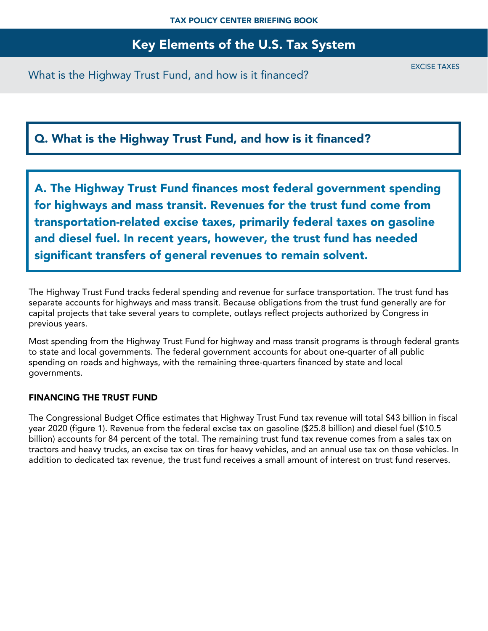What is the Highway Trust Fund, and how is it financed?

EXCISE TAXES

Q. What is the Highway Trust Fund, and how is it financed?

A. The Highway Trust Fund finances most federal government spending for highways and mass transit. Revenues for the trust fund come from transportation-related excise taxes, primarily federal taxes on gasoline and diesel fuel. In recent years, however, the trust fund has needed significant transfers of general revenues to remain solvent.

The Highway Trust Fund tracks federal spending and revenue for surface transportation. The trust fund has separate accounts for highways and mass transit. Because obligations from the trust fund generally are for capital projects that take several years to complete, outlays reflect projects authorized by Congress in previous years.

Most spending from the Highway Trust Fund for highway and mass transit programs is through federal grants to state and local governments. The federal government accounts for about one-quarter of all public spending on roads and highways, with the remaining three-quarters financed by state and local governments.

#### FINANCING THE TRUST FUND

The Congressional Budget Office estimates that Highway Trust Fund tax revenue will total \$43 billion in fiscal year 2020 (figure 1). Revenue from the federal excise tax on gasoline (\$25.8 billion) and diesel fuel (\$10.5 billion) accounts for 84 percent of the total. The remaining trust fund tax revenue comes from a sales tax on tractors and heavy trucks, an excise tax on tires for heavy vehicles, and an annual use tax on those vehicles. In addition to dedicated tax revenue, the trust fund receives a small amount of interest on trust fund reserves.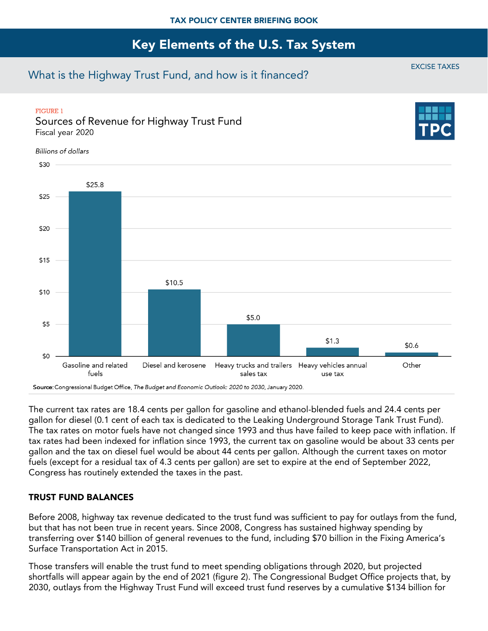## What is the Highway Trust Fund, and how is it financed?

#### **FIGURE 1**

Sources of Revenue for Highway Trust Fund Fiscal year 2020





The current tax rates are 18.4 cents per gallon for gasoline and ethanol-blended fuels and 24.4 cents per gallon for diesel (0.1 cent of each tax is dedicated to the Leaking Underground Storage Tank Trust Fund). The tax rates on motor fuels have not changed since 1993 and thus have failed to keep pace with inflation. If tax rates had been indexed for inflation since 1993, the current tax on gasoline would be about 33 cents per gallon and the tax on diesel fuel would be about 44 cents per gallon. Although the current taxes on motor fuels (except for a residual tax of 4.3 cents per gallon) are set to expire at the end of September 2022, Congress has routinely extended the taxes in the past.

#### TRUST FUND BALANCES

Before 2008, highway tax revenue dedicated to the trust fund was sufficient to pay for outlays from the fund, but that has not been true in recent years. Since 2008, Congress has sustained highway spending by transferring over \$140 billion of general revenues to the fund, including \$70 billion in the Fixing America's Surface Transportation Act in 2015.

Those transfers will enable the trust fund to meet spending obligations through 2020, but projected shortfalls will appear again by the end of 2021 (figure 2). The Congressional Budget Office projects that, by 2030, outlays from the Highway Trust Fund will exceed trust fund reserves by a cumulative \$134 billion for

EXCISE TAXES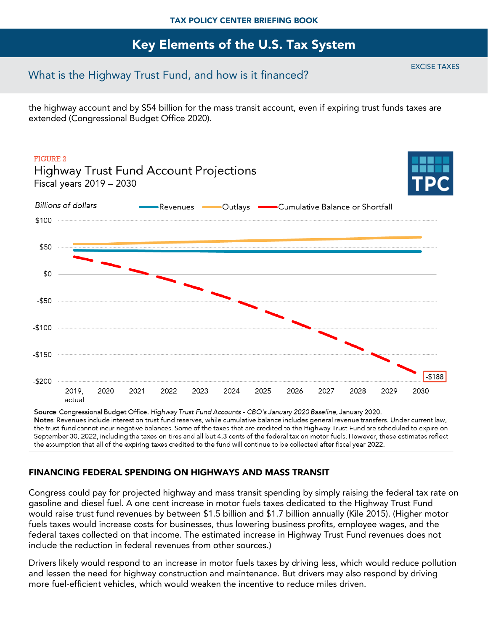## What is the Highway Trust Fund, and how is it financed?

the highway account and by \$54 billion for the mass transit account, even if expiring trust funds taxes are extended (Congressional Budget Office 2020).



Source: Congressional Budget Office. Highway Trust Fund Accounts - CBO's January 2020 Baseline, January 2020. Notes: Revenues include interest on trust fund reserves, while cumulative balance includes general revenue transfers. Under current law, the trust fund cannot incur negative balances. Some of the taxes that are credited to the Highway Trust Fund are scheduled to expire on September 30, 2022, including the taxes on tires and all but 4.3 cents of the federal tax on motor fuels. However, these estimates reflect the assumption that all of the expiring taxes credited to the fund will continue to be collected after fiscal year 2022.

### FINANCING FEDERAL SPENDING ON HIGHWAYS AND MASS TRANSIT

Congress could pay for projected highway and mass transit spending by simply raising the federal tax rate on gasoline and diesel fuel. A one cent increase in motor fuels taxes dedicated to the Highway Trust Fund would raise trust fund revenues by between \$1.5 billion and \$1.7 billion annually (Kile 2015). (Higher motor fuels taxes would increase costs for businesses, thus lowering business profits, employee wages, and the federal taxes collected on that income. The estimated increase in Highway Trust Fund revenues does not include the reduction in federal revenues from other sources.)

Drivers likely would respond to an increase in motor fuels taxes by driving less, which would reduce pollution and lessen the need for highway construction and maintenance. But drivers may also respond by driving more fuel-efficient vehicles, which would weaken the incentive to reduce miles driven.

EXCISE TAXES